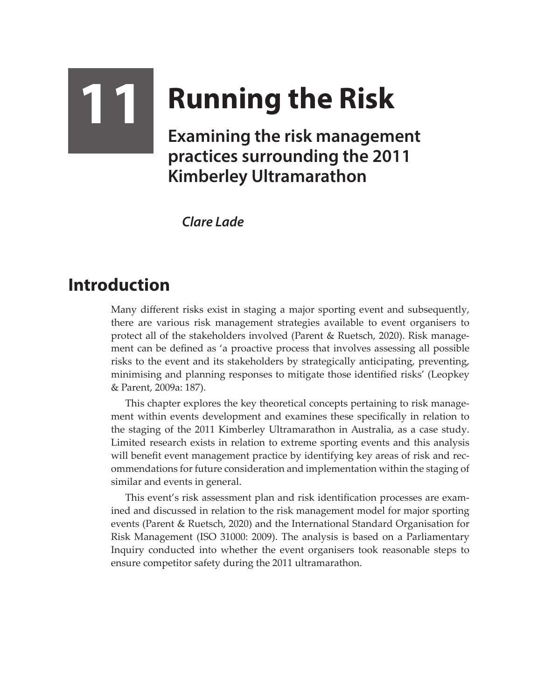## **11 Running the Risk Examining the risk management practices surrounding the 2011 Kimberley Ultramarathon**

*Clare Lade*

## **Introduction**

Many different risks exist in staging a major sporting event and subsequently, there are various risk management strategies available to event organisers to protect all of the stakeholders involved (Parent & Ruetsch, 2020). Risk management can be defined as 'a proactive process that involves assessing all possible risks to the event and its stakeholders by strategically anticipating, preventing, minimising and planning responses to mitigate those identified risks' (Leopkey & Parent, 2009a: 187).

This chapter explores the key theoretical concepts pertaining to risk management within events development and examines these specifically in relation to the staging of the 2011 Kimberley Ultramarathon in Australia, as a case study. Limited research exists in relation to extreme sporting events and this analysis will benefit event management practice by identifying key areas of risk and recommendations for future consideration and implementation within the staging of similar and events in general.

This event's risk assessment plan and risk identification processes are examined and discussed in relation to the risk management model for major sporting events (Parent & Ruetsch, 2020) and the International Standard Organisation for Risk Management (ISO 31000: 2009). The analysis is based on a Parliamentary Inquiry conducted into whether the event organisers took reasonable steps to ensure competitor safety during the 2011 ultramarathon.